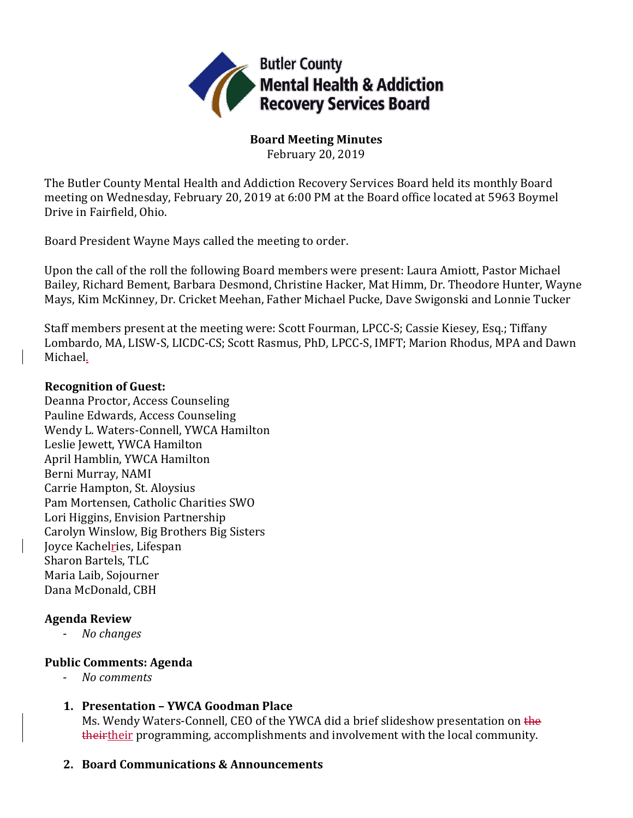

**Board Meeting Minutes**

February 20, 2019

The Butler County Mental Health and Addiction Recovery Services Board held its monthly Board meeting on Wednesday, February 20, 2019 at 6:00 PM at the Board office located at 5963 Boymel Drive in Fairfield, Ohio.

Board President Wayne Mays called the meeting to order.

Upon the call of the roll the following Board members were present: Laura Amiott, Pastor Michael Bailey, Richard Bement, Barbara Desmond, Christine Hacker, Mat Himm, Dr. Theodore Hunter, Wayne Mays, Kim McKinney, Dr. Cricket Meehan, Father Michael Pucke, Dave Swigonski and Lonnie Tucker

Staff members present at the meeting were: Scott Fourman, LPCC-S; Cassie Kiesey, Esq.; Tiffany Lombardo, MA, LISW-S, LICDC-CS; Scott Rasmus, PhD, LPCC-S, IMFT; Marion Rhodus, MPA and Dawn Michael.

# **Recognition of Guest:**

Deanna Proctor, Access Counseling Pauline Edwards, Access Counseling Wendy L. Waters-Connell, YWCA Hamilton Leslie Jewett, YWCA Hamilton April Hamblin, YWCA Hamilton Berni Murray, NAMI Carrie Hampton, St. Aloysius Pam Mortensen, Catholic Charities SWO Lori Higgins, Envision Partnership Carolyn Winslow, Big Brothers Big Sisters Joyce Kachelries, Lifespan Sharon Bartels, TLC Maria Laib, Sojourner Dana McDonald, CBH

# **Agenda Review**

- *No changes*

# **Public Comments: Agenda**

- *No comments*
- **1. Presentation – YWCA Goodman Place** Ms. Wendy Waters-Connell, CEO of the YWCA did a brief slideshow presentation on the theirtheir programming, accomplishments and involvement with the local community.
- **2. Board Communications & Announcements**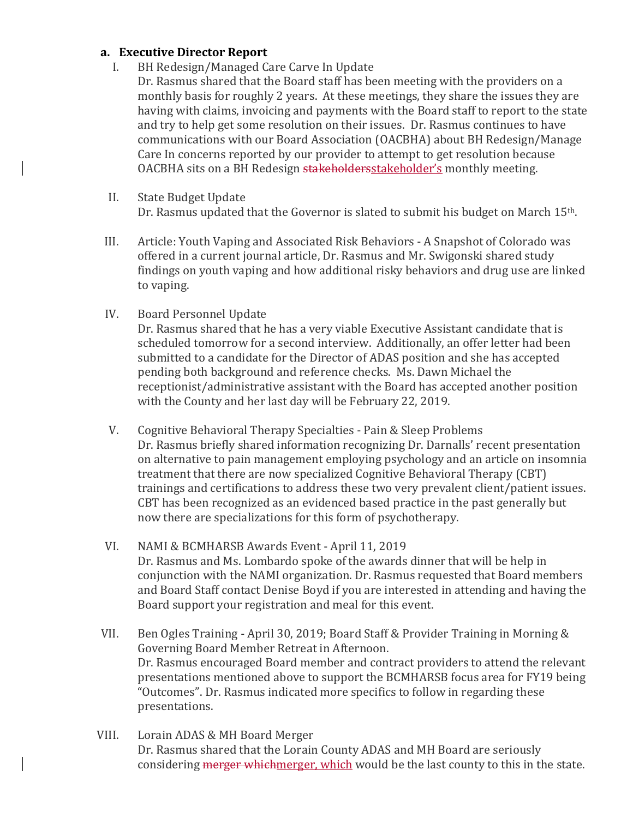### **a. Executive Director Report**

- I. BH Redesign/Managed Care Carve In Update
	- Dr. Rasmus shared that the Board staff has been meeting with the providers on a monthly basis for roughly 2 years. At these meetings, they share the issues they are having with claims, invoicing and payments with the Board staff to report to the state and try to help get some resolution on their issues. Dr. Rasmus continues to have communications with our Board Association (OACBHA) about BH Redesign/Manage Care In concerns reported by our provider to attempt to get resolution because OACBHA sits on a BH Redesign stakeholdersstakeholder's monthly meeting.
- II. State Budget Update Dr. Rasmus updated that the Governor is slated to submit his budget on March 15th.
- III. Article: Youth Vaping and Associated Risk Behaviors A Snapshot of Colorado was offered in a current journal article, Dr. Rasmus and Mr. Swigonski shared study findings on youth vaping and how additional risky behaviors and drug use are linked to vaping.
- IV. Board Personnel Update

Dr. Rasmus shared that he has a very viable Executive Assistant candidate that is scheduled tomorrow for a second interview. Additionally, an offer letter had been submitted to a candidate for the Director of ADAS position and she has accepted pending both background and reference checks. Ms. Dawn Michael the receptionist/administrative assistant with the Board has accepted another position with the County and her last day will be February 22, 2019.

- V. Cognitive Behavioral Therapy Specialties Pain & Sleep Problems Dr. Rasmus briefly shared information recognizing Dr. Darnalls' recent presentation on alternative to pain management employing psychology and an article on insomnia treatment that there are now specialized Cognitive Behavioral Therapy (CBT) trainings and certifications to address these two very prevalent client/patient issues. CBT has been recognized as an evidenced based practice in the past generally but now there are specializations for this form of psychotherapy.
- VI. NAMI & BCMHARSB Awards Event April 11, 2019 Dr. Rasmus and Ms. Lombardo spoke of the awards dinner that will be help in conjunction with the NAMI organization. Dr. Rasmus requested that Board members and Board Staff contact Denise Boyd if you are interested in attending and having the Board support your registration and meal for this event.
- VII. Ben Ogles Training April 30, 2019; Board Staff & Provider Training in Morning & Governing Board Member Retreat in Afternoon. Dr. Rasmus encouraged Board member and contract providers to attend the relevant presentations mentioned above to support the BCMHARSB focus area for FY19 being "Outcomes". Dr. Rasmus indicated more specifics to follow in regarding these presentations.
- VIII. Lorain ADAS & MH Board Merger Dr. Rasmus shared that the Lorain County ADAS and MH Board are seriously considering merger whichmerger, which would be the last county to this in the state.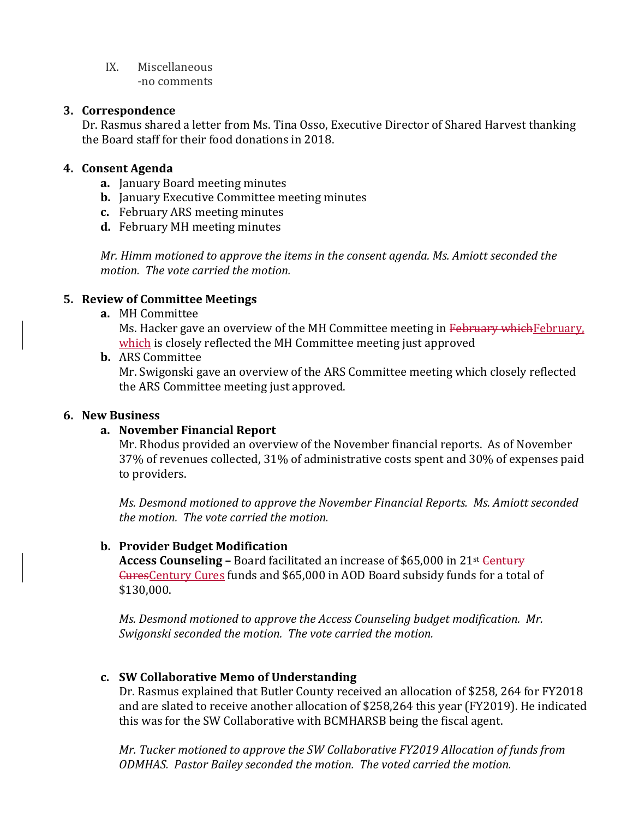IX. Miscellaneous -no comments

## **3. Correspondence**

Dr. Rasmus shared a letter from Ms. Tina Osso, Executive Director of Shared Harvest thanking the Board staff for their food donations in 2018.

## **4. Consent Agenda**

- **a.** January Board meeting minutes
- **b.** January Executive Committee meeting minutes
- **c.** February ARS meeting minutes
- **d.** February MH meeting minutes

*Mr. Himm motioned to approve the items in the consent agenda. Ms. Amiott seconded the motion. The vote carried the motion.*

### **5. Review of Committee Meetings**

**a.** MH Committee

Ms. Hacker gave an overview of the MH Committee meeting in February which February, which is closely reflected the MH Committee meeting just approved

**b.** ARS Committee

Mr. Swigonski gave an overview of the ARS Committee meeting which closely reflected the ARS Committee meeting just approved.

#### **6. New Business**

#### **a. November Financial Report**

Mr. Rhodus provided an overview of the November financial reports. As of November 37% of revenues collected, 31% of administrative costs spent and 30% of expenses paid to providers.

*Ms. Desmond motioned to approve the November Financial Reports. Ms. Amiott seconded the motion. The vote carried the motion.*

#### **b. Provider Budget Modification**

**Access Counseling –** Board facilitated an increase of \$65,000 in 21<sup>st</sup> Century CuresCentury Cures funds and \$65,000 in AOD Board subsidy funds for a total of \$130,000.

*Ms. Desmond motioned to approve the Access Counseling budget modification. Mr. Swigonski seconded the motion. The vote carried the motion.*

# **c. SW Collaborative Memo of Understanding**

Dr. Rasmus explained that Butler County received an allocation of \$258, 264 for FY2018 and are slated to receive another allocation of \$258,264 this year (FY2019). He indicated this was for the SW Collaborative with BCMHARSB being the fiscal agent.

*Mr. Tucker motioned to approve the SW Collaborative FY2019 Allocation of funds from ODMHAS. Pastor Bailey seconded the motion. The voted carried the motion.*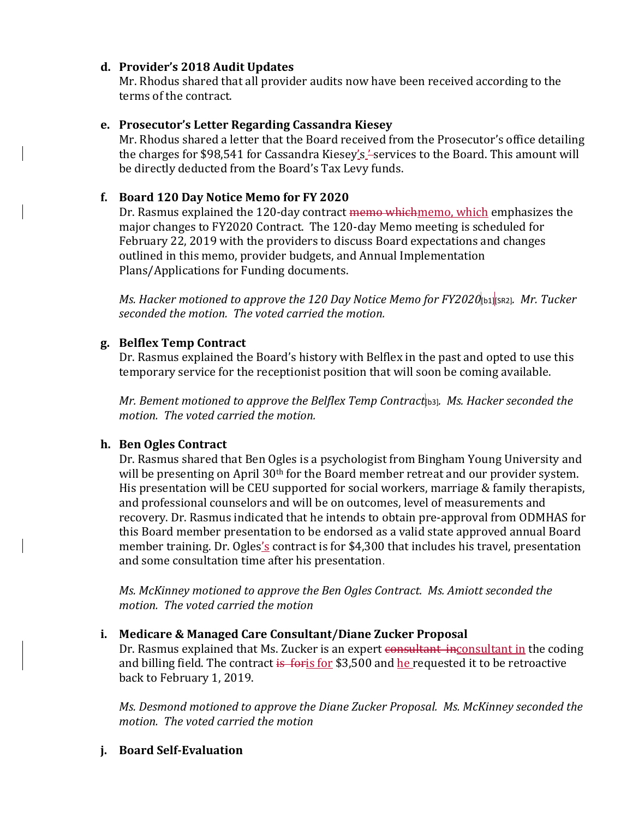# **d. Provider's 2018 Audit Updates**

Mr. Rhodus shared that all provider audits now have been received according to the terms of the contract.

## **e. Prosecutor's Letter Regarding Cassandra Kiesey**

Mr. Rhodus shared a letter that the Board received from the Prosecutor's office detailing the charges for \$98,541 for Cassandra Kiesey's '-services to the Board. This amount will be directly deducted from the Board's Tax Levy funds.

# **f. Board 120 Day Notice Memo for FY 2020**

Dr. Rasmus explained the 120-day contract memo whichmemo, which emphasizes the major changes to FY2020 Contract. The 120-day Memo meeting is scheduled for February 22, 2019 with the providers to discuss Board expectations and changes outlined in this memo, provider budgets, and Annual Implementation Plans/Applications for Funding documents.

*Ms. Hacker motioned to approve the 120 Day Notice Memo for FY2020*[b1][SR2]*. Mr. Tucker seconded the motion. The voted carried the motion.*

# **g. Belflex Temp Contract**

Dr. Rasmus explained the Board's history with Belflex in the past and opted to use this temporary service for the receptionist position that will soon be coming available.

*Mr. Bement motioned to approve the Belflex Temp Contract*[b3]*. Ms. Hacker seconded the motion. The voted carried the motion.*

# **h. Ben Ogles Contract**

Dr. Rasmus shared that Ben Ogles is a psychologist from Bingham Young University and will be presenting on April 30<sup>th</sup> for the Board member retreat and our provider system. His presentation will be CEU supported for social workers, marriage & family therapists, and professional counselors and will be on outcomes, level of measurements and recovery. Dr. Rasmus indicated that he intends to obtain pre-approval from ODMHAS for this Board member presentation to be endorsed as a valid state approved annual Board member training. Dr. Ogles's contract is for \$4,300 that includes his travel, presentation and some consultation time after his presentation.

*Ms. McKinney motioned to approve the Ben Ogles Contract. Ms. Amiott seconded the motion. The voted carried the motion*

# **i. Medicare & Managed Care Consultant/Diane Zucker Proposal**

Dr. Rasmus explained that Ms. Zucker is an expert consultant inconsultant in the coding and billing field. The contract is for is 500 and he requested it to be retroactive back to February 1, 2019.

*Ms. Desmond motioned to approve the Diane Zucker Proposal. Ms. McKinney seconded the motion. The voted carried the motion*

# **j. Board Self-Evaluation**